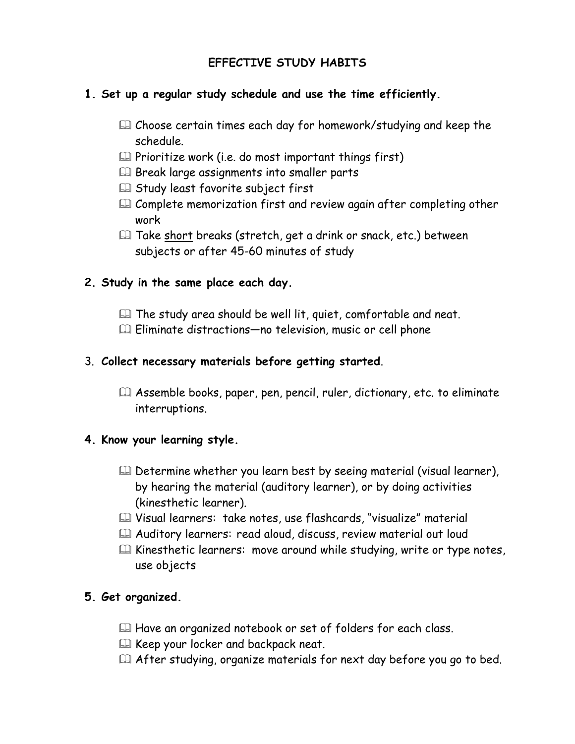# **EFFECTIVE STUDY HABITS**

## **1. Set up a regular study schedule and use the time efficiently.**

- Choose certain times each day for homework/studying and keep the schedule.
- $\mathbb{Q}$  Prioritize work (i.e. do most important things first)
- E Break large assignments into smaller parts
- **Etudy least favorite subject first**
- **Exagger Complete memorization first and review again after completing other** work
- Take short breaks (stretch, get a drink or snack, etc.) between subjects or after 45-60 minutes of study

#### **2. Study in the same place each day.**

- The study area should be well lit, quiet, comfortable and neat.
- Eliminate distractions—no television, music or cell phone

#### 3. **Collect necessary materials before getting started**.

 Assemble books, paper, pen, pencil, ruler, dictionary, etc. to eliminate interruptions.

## **4. Know your learning style.**

- Determine whether you learn best by seeing material (visual learner), by hearing the material (auditory learner), or by doing activities (kinesthetic learner).
- Visual learners: take notes, use flashcards, "visualize" material
- Auditory learners: read aloud, discuss, review material out loud
- $\mathbb{Q}$  Kinesthetic learners: move around while studying, write or type notes, use objects

## **5. Get organized.**

- $\Box$  Have an organized notebook or set of folders for each class.
- La Keep your locker and backpack neat.
- After studying, organize materials for next day before you go to bed.